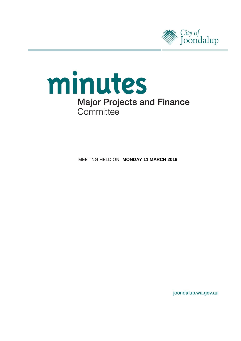



**MEETING HELD ON MONDAY 11 MARCH 2019** 

joondalup.wa.gov.au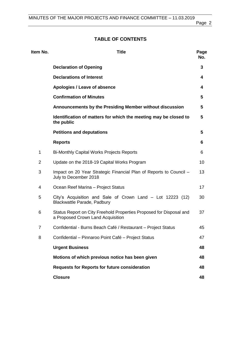Page 2

# **TABLE OF CONTENTS**

| Item No.       | <b>Title</b>                                                                                             | Page<br>No. |
|----------------|----------------------------------------------------------------------------------------------------------|-------------|
|                | <b>Declaration of Opening</b>                                                                            | 3           |
|                | <b>Declarations of Interest</b>                                                                          | 4           |
|                | Apologies / Leave of absence                                                                             | 4           |
|                | <b>Confirmation of Minutes</b>                                                                           | 5           |
|                | Announcements by the Presiding Member without discussion                                                 | 5           |
|                | Identification of matters for which the meeting may be closed to<br>the public                           | 5           |
|                | <b>Petitions and deputations</b>                                                                         | 5           |
|                | <b>Reports</b>                                                                                           | 6           |
| 1              | <b>Bi-Monthly Capital Works Projects Reports</b>                                                         | 6           |
| $\overline{2}$ | Update on the 2018-19 Capital Works Program                                                              | 10          |
| 3              | Impact on 20 Year Strategic Financial Plan of Reports to Council -<br>July to December 2018              | 13          |
| 4              | Ocean Reef Marina - Project Status                                                                       | 17          |
| 5              | City's Acquisition and Sale of Crown Land - Lot 12223 (12)<br><b>Blackwattle Parade, Padbury</b>         | 30          |
| 6              | Status Report on City Freehold Properties Proposed for Disposal and<br>a Proposed Crown Land Acquisition | 37          |
| 7              | Confidential - Burns Beach Café / Restaurant - Project Status                                            | 45          |
| 8              | Confidential - Pinnaroo Point Café - Project Status                                                      | 47          |
|                | <b>Urgent Business</b>                                                                                   | 48          |
|                | Motions of which previous notice has been given                                                          | 48          |
|                | <b>Requests for Reports for future consideration</b>                                                     | 48          |
|                | <b>Closure</b>                                                                                           | 48          |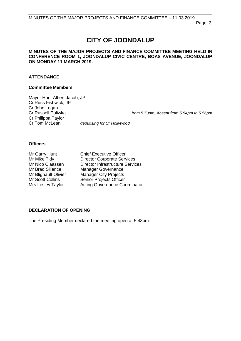Page 3

# **CITY OF JOONDALUP**

#### **MINUTES OF THE MAJOR PROJECTS AND FINANCE COMMITTEE MEETING HELD IN CONFERENCE ROOM 1, JOONDALUP CIVIC CENTRE, BOAS AVENUE, JOONDALUP ON MONDAY 11 MARCH 2019.**

## **ATTENDANCE**

## **Committee Members**

Mayor Hon. Albert Jacob, JP Cr Russ Fishwick, JP Cr John Logan<br>Cr Russell Poliwka Cr Philippa Taylor<br>Cr Tom McLean deputising for Cr Hollywood

from 5.53pm; Absent from 5.54pm to 5.56pm

## **Officers**

| Mr Garry Hunt        | <b>Chief Executive Officer</b>          |
|----------------------|-----------------------------------------|
| Mr Mike Tidy         | <b>Director Corporate Services</b>      |
| Mr Nico Claassen     | <b>Director Infrastructure Services</b> |
| Mr Brad Sillence     | <b>Manager Governance</b>               |
| Mr Blignault Olivier | <b>Manager City Projects</b>            |
| Mr Scott Collins     | Senior Projects Officer                 |
| Mrs Lesley Taylor    | <b>Acting Governance Coordinator</b>    |
|                      |                                         |

# <span id="page-2-0"></span>**DECLARATION OF OPENING**

The Presiding Member declared the meeting open at 5.48pm.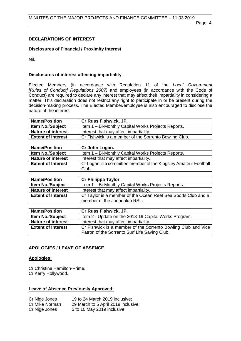## <span id="page-3-0"></span>**DECLARATIONS OF INTEREST**

## **Disclosures of Financial / Proximity Interest**

Nil.

## **Disclosures of interest affecting impartiality**

Elected Members (in accordance with Regulation 11 of the *Local Government [Rules of Conduct] Regulations 2007)* and employees (in accordance with the Code of Conduct) are required to declare any interest that may affect their impartiality in considering a matter. This declaration does not restrict any right to participate in or be present during the decision-making process. The Elected Member/employee is also encouraged to disclose the nature of the interest.

| <b>Name/Position</b>      | <b>Cr Russ Fishwick, JP.</b>                          |
|---------------------------|-------------------------------------------------------|
| <b>Item No./Subject</b>   | Item 1 - Bi-Monthly Capital Works Projects Reports.   |
| <b>Nature of interest</b> | Interest that may affect impartiality.                |
| <b>Extent of Interest</b> | Cr Fishwick is a member of the Sorrento Bowling Club. |

| <b>Name/Position</b>      | Cr John Logan.                                                  |
|---------------------------|-----------------------------------------------------------------|
| <b>Item No./Subject</b>   | Item 1 – Bi-Monthly Capital Works Projects Reports.             |
| <b>Nature of interest</b> | Interest that may affect impartiality.                          |
| <b>Extent of Interest</b> | Cr Logan is a committee member of the Kingsley Amateur Football |
|                           | Club.                                                           |

| <b>Name/Position</b>      | Cr Philippa Taylor.                                           |
|---------------------------|---------------------------------------------------------------|
| <b>Item No./Subject</b>   | Item 1 - Bi-Monthly Capital Works Projects Reports.           |
| <b>Nature of interest</b> | Interest that may affect impartiality.                        |
| <b>Extent of Interest</b> | Cr Taylor is a member of the Ocean Reef Sea Sports Club and a |
|                           | member of the Joondalup RSL.                                  |

| <b>Name/Position</b>      | <b>Cr Russ Fishwick, JP.</b>                                  |
|---------------------------|---------------------------------------------------------------|
| <b>Item No./Subject</b>   | Item 2 - Update on the 2018-19 Capital Works Program.         |
| <b>Nature of interest</b> | Interest that may affect impartiality.                        |
| <b>Extent of Interest</b> | Cr Fishwick is a member of the Sorrento Bowling Club and Vice |
|                           | Patron of the Sorrento Surf Life Saving Club.                 |

## <span id="page-3-1"></span>**APOLOGIES / LEAVE OF ABSENCE**

## **Apologies:**

Cr Christine Hamilton-Prime. Cr Kerry Hollywood.

## **Leave of Absence Previously Approved:**

| Cr Nige Jones  | 19 to 24 March 2019 inclusive;      |
|----------------|-------------------------------------|
| Cr Mike Norman | 29 March to 5 April 2019 inclusive; |
| Cr Nige Jones  | 5 to 10 May 2019 inclusive.         |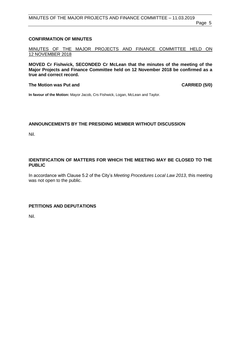# <span id="page-4-0"></span>**CONFIRMATION OF MINUTES**

MINUTES OF THE MAJOR PROJECTS AND FINANCE COMMITTEE HELD ON 12 NOVEMBER 2018

**MOVED Cr Fishwick, SECONDED Cr McLean that the minutes of the meeting of the Major Projects and Finance Committee held on 12 November 2018 be confirmed as a true and correct record.**

# **The Motion was Put and CARRIED (5/0)**

**In favour of the Motion:** Mayor Jacob, Crs Fishwick, Logan, McLean and Taylor.

# <span id="page-4-1"></span>**ANNOUNCEMENTS BY THE PRESIDING MEMBER WITHOUT DISCUSSION**

Nil.

# <span id="page-4-2"></span>**IDENTIFICATION OF MATTERS FOR WHICH THE MEETING MAY BE CLOSED TO THE PUBLIC**

In accordance with Clause 5.2 of the City's *Meeting Procedures Local Law 2013*, this meeting was not open to the public.

# <span id="page-4-3"></span>**PETITIONS AND DEPUTATIONS**

Nil.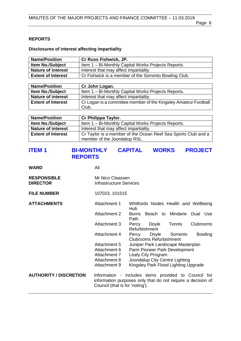## <span id="page-5-0"></span>**REPORTS**

## **Disclosures of interest affecting impartiality**

| <b>Name/Position</b>      | <b>Cr Russ Fishwick, JP.</b>                          |
|---------------------------|-------------------------------------------------------|
| <b>Item No./Subject</b>   | Item 1 - Bi-Monthly Capital Works Projects Reports.   |
| <b>Nature of interest</b> | Interest that may affect impartiality.                |
| <b>Extent of Interest</b> | Cr Fishwick is a member of the Sorrento Bowling Club. |

| <b>Name/Position</b>      | Cr John Logan.                                                  |
|---------------------------|-----------------------------------------------------------------|
| <b>Item No./Subject</b>   | Item 1 - Bi-Monthly Capital Works Projects Reports.             |
| <b>Nature of interest</b> | Interest that may affect impartiality.                          |
| <b>Extent of Interest</b> | Cr Logan is a committee member of the Kingsley Amateur Football |
|                           | Club.                                                           |

| <b>Name/Position</b>      | Cr Philippa Taylor.                                           |
|---------------------------|---------------------------------------------------------------|
| <b>Item No./Subject</b>   | Item 1 - Bi-Monthly Capital Works Projects Reports.           |
| <b>Nature of interest</b> | Interest that may affect impartiality.                        |
| <b>Extent of Interest</b> | Cr Taylor is a member of the Ocean Reef Sea Sports Club and a |
|                           | member of the Joondalup RSL.                                  |

# <span id="page-5-1"></span>**ITEM 1 BI-MONTHLY CAPITAL WORKS PROJECT REPORTS**

**WARD** All

| <b>RESPONSIBLE</b> | Mr Nico Claassen        |
|--------------------|-------------------------|
| <b>DIRECTOR</b>    | Infrastructure Services |
|                    |                         |

# **FILE NUMBER** 107023, 101515

| <b>ATTACHMENTS</b>            | Attachment 1                    | Whitfords Nodes Health and Wellbeing<br>Hub                                                                         |          |                  |
|-------------------------------|---------------------------------|---------------------------------------------------------------------------------------------------------------------|----------|------------------|
|                               | Attachment 2                    | <b>Burns</b><br>Beach to<br>Path                                                                                    | Mindarie | Dual<br>Use.     |
|                               | <b>Attachment 3</b>             | Percy<br>Doyle<br>Refurbishment                                                                                     | Tennis   | <b>Clubrooms</b> |
|                               | Attachment 4                    | Percy<br>Doyle<br><b>Clubrooms Refurbishment</b>                                                                    | Sorrento | <b>Bowling</b>   |
|                               | Attachment 5                    | Juniper Park Landscape Masterplan                                                                                   |          |                  |
|                               | Attachment 6                    | Parin Pioneer Park Development                                                                                      |          |                  |
|                               | Attachment 7                    | Leafy City Program                                                                                                  |          |                  |
|                               | Attachment 8                    | Joondalup City Centre Lighting                                                                                      |          |                  |
|                               | Attachment 9                    | Kingsley Park Flood Lighting Upgrade                                                                                |          |                  |
| <b>AUTHORITY / DISCRETION</b> | Council (that is for 'noting'). | Information - includes items provided to Council for<br>information purposes only that do not require a decision of |          |                  |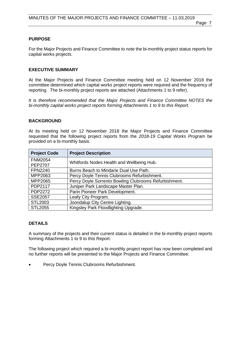## **PURPOSE**

For the Major Projects and Finance Committee to note the bi-monthly project status reports for capital works projects.

#### **EXECUTIVE SUMMARY**

At the Major Projects and Finance Committee meeting held on 12 November 2018 the committee determined which capital works project reports were required and the frequency of reporting. The bi-monthly project reports are attached (Attachments 1 to 9 refer).

*It is therefore recommended that the Major Projects and Finance Committee NOTES the bi-monthly capital works project reports forming Attachments 1 to 9 to this Report.*

#### **BACKGROUND**

At its meeting held on 12 November 2018 the Major Projects and Finance Committee requested that the following project reports from the *2018-19 Capital Works Program* be provided on a bi-monthly basis:

| <b>Project Code</b>              | <b>Project Description</b>                            |
|----------------------------------|-------------------------------------------------------|
| <b>FNM2054</b><br><b>PEP2707</b> | Whitfords Nodes Health and Wellbeing Hub.             |
| <b>FPN2240</b>                   | Burns Beach to Mindarie Dual Use Path.                |
| MPP2063                          | Percy Doyle Tennis Clubrooms Refurbishment.           |
| MPP2065                          | Percy Doyle Sorrento Bowling Clubrooms Refurbishment. |
| PDP2117                          | Juniper Park Landscape Master Plan.                   |
| PDP2272                          | Parin Pioneer Park Development.                       |
| <b>SSE2057</b>                   | Leafy City Program.                                   |
| STL2003                          | Joondalup City Centre Lighting.                       |
| <b>STL2055</b>                   | Kingsley Park Floodlighting Upgrade.                  |

#### **DETAILS**

A summary of the projects and their current status is detailed in the bi-monthly project reports forming Attachments 1 to 9 to this Report.

The following project which required a bi-monthly project report has now been completed and no further reports will be presented to the Major Projects and Finance Committee:

Percy Doyle Tennis Clubrooms Refurbishment.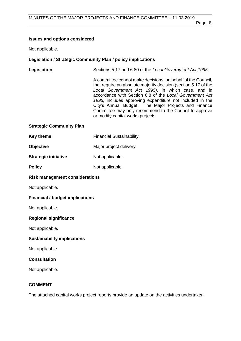# **Issues and options considered**

Not applicable.

# **Legislation / Strategic Community Plan / policy implications**

**Legislation** Sections 5.17 and 6.80 of the *Local Government Act 1995.*

A committee cannot make decisions, on behalf of the Council, that require an absolute majority decision (section 5.17 of the *Local Government Act 1995)*, in which case, and in accordance with Section 6.8 of the *Local Government Act 1995,* includes approving expenditure not included in the City's Annual Budget. The Major Projects and Finance Committee may only recommend to the Council to approve or modify capital works projects.

# **Strategic Community Plan**

| <b>Key theme</b> | <b>Financial Sustainability.</b> |
|------------------|----------------------------------|
|                  |                                  |

| <b>Objective</b> | Major project delivery. |
|------------------|-------------------------|
|------------------|-------------------------|

**Strategic initiative** Not applicable.

**Policy** Not applicable.

# **Risk management considerations**

Not applicable.

# **Financial / budget implications**

Not applicable.

# **Regional significance**

Not applicable.

**Sustainability implications**

Not applicable.

# **Consultation**

Not applicable.

# **COMMENT**

The attached capital works project reports provide an update on the activities undertaken.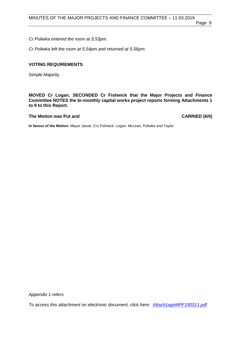*Cr Poliwka entered the room at 5.53pm.*

*Cr Poliwka left the room at 5.54pm and returned at 5.56pm.*

## **VOTING REQUIREMENTS**

Simple Majority.

#### **MOVED Cr Logan, SECONDED Cr Fishwick that the Major Projects and Finance Committee NOTES the bi-monthly capital works project reports forming Attachments 1 to 9 to this Report.**

#### **The Motion was Put and CARRIED (6/0)**

**In favour of the Motion:** Mayor Jacob, Crs Fishwick, Logan, McLean, Poliwka and Taylor.

*Appendix 1 refers*

*[To access this attachment on electronic document, click here: Attach1agnMPF190311.pdf](http://www.joondalup.wa.gov.au/files/committees/MPFI/2019/Attach1agnMPF190311.pdf)*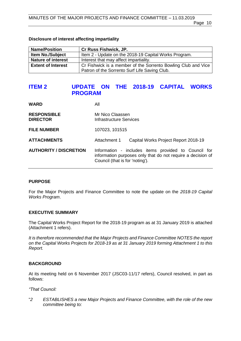# **Disclosure of interest affecting impartiality**

| <b>Name/Position</b>      | Cr Russ Fishwick, JP.                                         |
|---------------------------|---------------------------------------------------------------|
| <b>Item No./Subject</b>   | Item 2 - Update on the 2018-19 Capital Works Program.         |
| <b>Nature of interest</b> | Interest that may affect impartiality.                        |
| <b>Extent of Interest</b> | Cr Fishwick is a member of the Sorrento Bowling Club and Vice |
|                           | Patron of the Sorrento Surf Life Saving Club.                 |

# <span id="page-9-0"></span>**ITEM 2 UPDATE ON THE 2018-19 CAPITAL WORKS PROGRAM**

| <b>WARD</b>                           | All                                                                                                                                                    |  |
|---------------------------------------|--------------------------------------------------------------------------------------------------------------------------------------------------------|--|
| <b>RESPONSIBLE</b><br><b>DIRECTOR</b> | Mr Nico Claassen<br>Infrastructure Services                                                                                                            |  |
| <b>FILE NUMBER</b>                    | 107023, 101515                                                                                                                                         |  |
| <b>ATTACHMENTS</b>                    | Attachment 1<br>Capital Works Project Report 2018-19                                                                                                   |  |
| <b>AUTHORITY / DISCRETION</b>         | Information - includes items provided to Council for<br>information purposes only that do not require a decision of<br>Council (that is for 'noting'). |  |

## **PURPOSE**

For the Major Projects and Finance Committee to note the update on the *2018-19 Capital Works Program*.

#### **EXECUTIVE SUMMARY**

The Capital Works Project Report for the 2018-19 program as at 31 January 2019 is attached (Attachment 1 refers).

*It is therefore recommended that the Major Projects and Finance Committee NOTES the report on the Capital Works Projects for 2018-19 as at 31 January 2019 forming Attachment 1 to this Report.*

## **BACKGROUND**

At its meeting held on 6 November 2017 (JSC03-11/17 refers), Council resolved, in part as follows:

*"That Council:*

"*2 ESTABLISHES a new Major Projects and Finance Committee, with the role of the new committee being to:*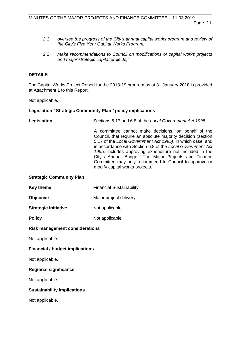- *2.1 oversee the progress of the City's annual capital works program and review of the City's Five Year Capital Works Program;*
- *2.2 make recommendations to Council on modifications of capital works projects and major strategic capital projects;"*

# **DETAILS**

The Capital Works Project Report for the 2018-19 program as at 31 January 2018 is provided at Attachment 1 to this Report.

Not applicable.

#### **Legislation / Strategic Community Plan / policy implications**

| Legislation                           | Sections 5.17 and 6.8 of the Local Government Act 1995.                                                                                                                                                                                                                                                                                                                                                                                                        |  |
|---------------------------------------|----------------------------------------------------------------------------------------------------------------------------------------------------------------------------------------------------------------------------------------------------------------------------------------------------------------------------------------------------------------------------------------------------------------------------------------------------------------|--|
|                                       | A committee cannot make decisions, on behalf of the<br>Council, that require an absolute majority decision (section<br>5.17 of the Local Government Act 1995), in which case, and<br>in accordance with Section 6.8 of the Local Government Act<br>1995, includes approving expenditure not included in the<br>City's Annual Budget. The Major Projects and Finance<br>Committee may only recommend to Council to approve or<br>modify capital works projects. |  |
| <b>Strategic Community Plan</b>       |                                                                                                                                                                                                                                                                                                                                                                                                                                                                |  |
| <b>Key theme</b>                      | Financial Sustainability.                                                                                                                                                                                                                                                                                                                                                                                                                                      |  |
| <b>Objective</b>                      | Major project delivery.                                                                                                                                                                                                                                                                                                                                                                                                                                        |  |
| <b>Strategic initiative</b>           | Not applicable.                                                                                                                                                                                                                                                                                                                                                                                                                                                |  |
| <b>Policy</b>                         | Not applicable.                                                                                                                                                                                                                                                                                                                                                                                                                                                |  |
| <b>Risk management considerations</b> |                                                                                                                                                                                                                                                                                                                                                                                                                                                                |  |
| Not applicable.                       |                                                                                                                                                                                                                                                                                                                                                                                                                                                                |  |

**Financial / budget implications**

Not applicable.

## **Regional significance**

Not applicable.

## **Sustainability implications**

Not applicable.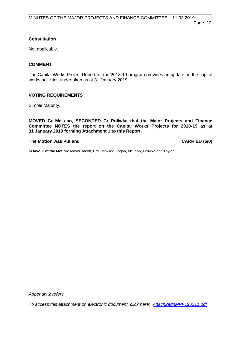## **Consultation**

Not applicable.

## **COMMENT**

The Capital Works Project Report for the 2018-19 program provides an update on the capital works activities undertaken as at 31 January 2019.

## **VOTING REQUIREMENTS**

Simple Majority.

**MOVED Cr McLean, SECONDED Cr Poliwka that the Major Projects and Finance Committee NOTES the report on the Capital Works Projects for 2018-19 as at 31 January 2019 forming Attachment 1 to this Report.**

#### **The Motion was Put and CARRIED (6/0)**

**In favour of the Motion:** Mayor Jacob, Crs Fishwick, Logan, McLean, Poliwka and Taylor.

*Appendix 2 refers*

*[To access this attachment on electronic document, click here: Attach2agnMPF190311.pdf](http://www.joondalup.wa.gov.au/files/committees/MPFI/2019/Attach2agnMPF190311.pdf)*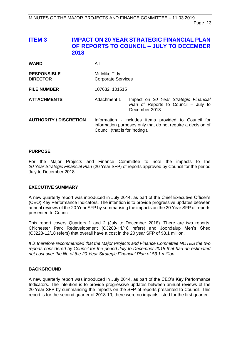# <span id="page-12-0"></span>**ITEM 3 IMPACT ON 20 YEAR STRATEGIC FINANCIAL PLAN OF REPORTS TO COUNCIL – JULY TO DECEMBER 2018**

| <b>WARD</b>                           | All                                                                                                                                                    |                                                                                                  |  |
|---------------------------------------|--------------------------------------------------------------------------------------------------------------------------------------------------------|--------------------------------------------------------------------------------------------------|--|
| <b>RESPONSIBLE</b><br><b>DIRECTOR</b> | Mr Mike Tidy<br><b>Corporate Services</b>                                                                                                              |                                                                                                  |  |
| <b>FILE NUMBER</b>                    | 107632, 101515                                                                                                                                         |                                                                                                  |  |
| <b>ATTACHMENTS</b>                    | Attachment 1                                                                                                                                           | Impact on 20 Year Strategic Financial<br>Plan of Reports to Council $-$ July to<br>December 2018 |  |
| <b>AUTHORITY / DISCRETION</b>         | Information - includes items provided to Council for<br>information purposes only that do not require a decision of<br>Council (that is for 'noting'). |                                                                                                  |  |

#### **PURPOSE**

For the Major Projects and Finance Committee to note the impacts to the *20 Year Strategic Financial Plan* (20 Year SFP) of reports approved by Council for the period July to December 2018.

## **EXECUTIVE SUMMARY**

A new quarterly report was introduced in July 2014, as part of the Chief Executive Officer's (CEO) Key Performance Indicators. The intention is to provide progressive updates between annual reviews of the 20 Year SFP by summarising the impacts on the 20 Year SFP of reports presented to Council.

This report covers Quarters 1 and 2 (July to December 2018). There are two reports, Chichester Park Redevelopment (CJ208-11/18 refers) and Joondalup Men's Shed (CJ228-12/18 refers) that overall have a cost in the 20 year SFP of \$3.1 million.

*It is therefore recommended that the Major Projects and Finance Committee NOTES the two reports considered by Council for the period July to December 2018 that had an estimated net cost over the life of the 20 Year Strategic Financial Plan of \$3.1 million.*

## **BACKGROUND**

A new quarterly report was introduced in July 2014, as part of the CEO's Key Performance Indicators. The intention is to provide progressive updates between annual reviews of the 20 Year SFP by summarising the impacts on the SFP of reports presented to Council. This report is for the second quarter of 2018-19, there were no impacts listed for the first quarter.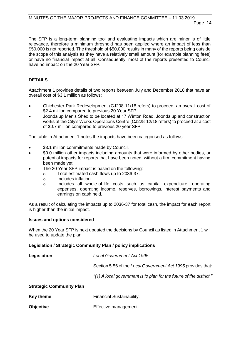The SFP is a long-term planning tool and evaluating impacts which are minor is of little relevance, therefore a minimum threshold has been applied where an impact of less than \$50,000 is not reported. The threshold of \$50,000 results in many of the reports being outside the scope of this analysis as they have a relatively small amount (for example planning fees) or have no financial impact at all. Consequently, most of the reports presented to Council have no impact on the 20 Year SFP.

## **DETAILS**

Attachment 1 provides details of two reports between July and December 2018 that have an overall cost of \$3.1 million as follows:

- Chichester Park Redevelopment (CJ208-11/18 refers) to proceed, an overall cost of \$2.4 million compared to previous 20 Year SFP.
- Joondalup Men's Shed to be located at 17 Winton Road, Joondalup and construction works at the City's Works Operations Centre (CJ228-12/18 refers) to proceed at a cost of \$0.7 million compared to previous 20 year SFP.

The table in Attachment 1 notes the impacts have been categorised as follows:

- \$3.1 million commitments made by Council.
- \$0.0 million other impacts including amounts that were informed by other bodies, or potential impacts for reports that have been noted, without a firm commitment having been made yet.
- The 20 Year SFP impact is based on the following:
	- o Total estimated cash flows up to 2036-37.
	- o Includes inflation.
	- o Includes all whole-of-life costs such as capital expenditure, operating expenses, operating income, reserves, borrowings, interest payments and earnings on cash held.

As a result of calculating the impacts up to 2036-37 for total cash, the impact for each report is higher than the initial impact.

#### **Issues and options considered**

When the 20 Year SFP is next updated the decisions by Council as listed in Attachment 1 will be used to update the plan.

#### **Legislation / Strategic Community Plan / policy implications**

| Legislation                     | Local Government Act 1995.                                          |  |
|---------------------------------|---------------------------------------------------------------------|--|
|                                 | Section 5.56 of the Local Government Act 1995 provides that:        |  |
|                                 | "(1) A local government is to plan for the future of the district." |  |
| <b>Strategic Community Plan</b> |                                                                     |  |
| <b>Key theme</b>                | Financial Sustainability.                                           |  |
| <b>Objective</b>                | Effective management.                                               |  |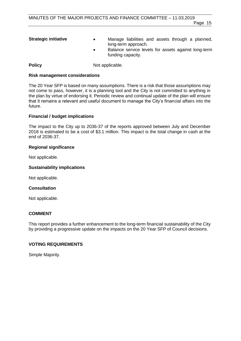- **Strategic initiative •** Manage liabilities and assets through a planned, long-term approach.
	- Balance service levels for assets against long-term funding capacity.

**Policy** Not applicable.

## **Risk management considerations**

The 20 Year SFP is based on many assumptions. There is a risk that those assumptions may not come to pass, however, it is a planning tool and the City is not committed to anything in the plan by virtue of endorsing it. Periodic review and continual update of the plan will ensure that it remains a relevant and useful document to manage the City's financial affairs into the future.

## **Financial / budget implications**

The impact to the City up to 2036-37 of the reports approved between July and December 2018 is estimated to be a cost of \$3.1 million. This impact is the total change in cash at the end of 2036-37.

## **Regional significance**

Not applicable.

## **Sustainability implications**

Not applicable.

## **Consultation**

Not applicable.

## **COMMENT**

This report provides a further enhancement to the long-term financial sustainability of the City by providing a progressive update on the impacts on the 20 Year SFP of Council decisions.

## **VOTING REQUIREMENTS**

Simple Majority.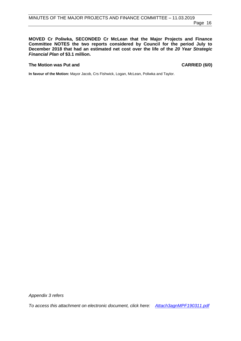**MOVED Cr Poliwka, SECONDED Cr McLean that the Major Projects and Finance Committee NOTES the two reports considered by Council for the period July to December 2018 that had an estimated net cost over the life of the** *20 Year Strategic Financial Plan* **of \$3.1 million.**

#### **The Motion was Put and CARRIED (6/0)**

**In favour of the Motion:** Mayor Jacob, Crs Fishwick, Logan, McLean, Poliwka and Taylor.

*Appendix 3 refers*

*[To access this attachment on electronic document, click here: Attach3agnMPF190311.pdf](http://www.joondalup.wa.gov.au/files/committees/MPFI/2019/Attach3agnMPF190311.pdf)*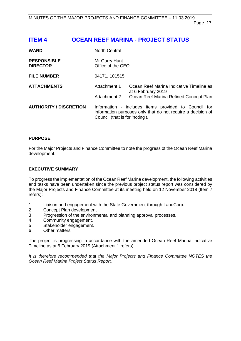# <span id="page-16-0"></span>**ITEM 4 OCEAN REEF MARINA - PROJECT STATUS**

| <b>WARD</b>                           | <b>North Central</b>               |                                                                                                                     |
|---------------------------------------|------------------------------------|---------------------------------------------------------------------------------------------------------------------|
| <b>RESPONSIBLE</b><br><b>DIRECTOR</b> | Mr Garry Hunt<br>Office of the CEO |                                                                                                                     |
| <b>FILE NUMBER</b>                    | 04171, 101515                      |                                                                                                                     |
| <b>ATTACHMENTS</b>                    | Attachment 1                       | Ocean Reef Marina Indicative Timeline as<br>at 6 February 2019                                                      |
|                                       | Attachment 2                       | Ocean Reef Marina Refined Concept Plan                                                                              |
| <b>AUTHORITY / DISCRETION</b>         | Council (that is for 'noting').    | Information - includes items provided to Council for<br>information purposes only that do not require a decision of |

#### **PURPOSE**

For the Major Projects and Finance Committee to note the progress of the Ocean Reef Marina development.

#### **EXECUTIVE SUMMARY**

To progress the implementation of the Ocean Reef Marina development, the following activities and tasks have been undertaken since the previous project status report was considered by the Major Projects and Finance Committee at its meeting held on 12 November 2018 (Item 7 refers):

- 1 Liaison and engagement with the State Government through LandCorp.
- 2 Concept Plan development
- 3 Progression of the environmental and planning approval processes.
- 4 Community engagement.
- 5 Stakeholder engagement.
- 6 Other matters.

The project is progressing in accordance with the amended Ocean Reef Marina Indicative Timeline as at 6 February 2019 (Attachment 1 refers).

*It is therefore recommended that the Major Projects and Finance Committee NOTES the Ocean Reef Marina Project Status Report.*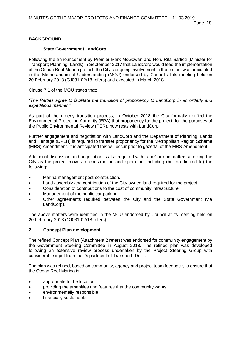## **BACKGROUND**

## **1 State Government / LandCorp**

Following the announcement by Premier Mark McGowan and Hon. Rita Saffioti (Minister for Transport; Planning; Lands) in September 2017 that LandCorp would lead the implementation of the Ocean Reef Marina project, the City's ongoing involvement in the project was articulated in the Memorandum of Understanding (MOU) endorsed by Council at its meeting held on 20 February 2018 (CJ031-02/18 refers) and executed in March 2018.

Clause 7.1 of the MOU states that:

*"The Parties agree to facilitate the transition of proponency to LandCorp in an orderly and expeditious manner."*

As part of the orderly transition process, in October 2018 the City formally notified the Environmental Protection Authority (EPA) that proponency for the project, for the purposes of the Public Environmental Review (PER), now rests with LandCorp.

Further engagement and negotiation with LandCorp and the Department of Planning, Lands and Heritage (DPLH) is required to transfer proponency for the Metropolitan Region Scheme (MRS) Amendment. It is anticipated this will occur prior to gazettal of the MRS Amendment.

Additional discussion and negotiation is also required with LandCorp on matters affecting the City as the project moves to construction and operation, including (but not limited to) the following:

- Marina management post-construction.
- Land assembly and contribution of the City owned land required for the project.
- Consideration of contributions to the cost of community infrastructure.
- Management of the public car parking.
- Other agreements required between the City and the State Government (via LandCorp).

The above matters were identified in the MOU endorsed by Council at its meeting held on 20 February 2018 (CJ031-02/18 refers).

## **2 Concept Plan development**

The refined Concept Plan (Attachment 2 refers) was endorsed for community engagement by the Government Steering Committee in August 2018. The refined plan was developed following an extensive review process undertaken by the Project Steering Group with considerable input from the Department of Transport (DoT).

The plan was refined, based on community, agency and project team feedback, to ensure that the Ocean Reef Marina is:

- appropriate to the location
- providing the amenities and features that the community wants
- environmentally responsible
- financially sustainable.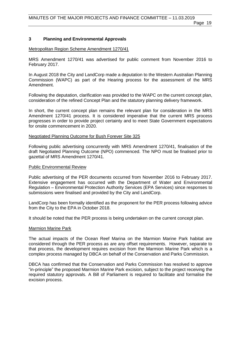# **3 Planning and Environmental Approvals**

# Metropolitan Region Scheme Amendment 1270/41

MRS Amendment 1270/41 was advertised for public comment from November 2016 to February 2017.

In August 2018 the City and LandCorp made a deputation to the Western Australian Planning Commission (WAPC) as part of the Hearing process for the assessment of the MRS Amendment.

Following the deputation, clarification was provided to the WAPC on the current concept plan, consideration of the refined Concept Plan and the statutory planning delivery framework.

In short, the current concept plan remains the relevant plan for consideration in the MRS Amendment 1270/41 process. It is considered imperative that the current MRS process progresses in order to provide project certainty and to meet State Government expectations for onsite commencement in 2020.

# Negotiated Planning Outcome for Bush Forever Site 325

Following public advertising concurrently with MRS Amendment 1270/41, finalisation of the draft Negotiated Planning Outcome (NPO) commenced. The NPO must be finalised prior to gazettal of MRS Amendment 1270/41.

# Public Environmental Review

Public advertising of the PER documents occurred from November 2016 to February 2017. Extensive engagement has occurred with the Department of Water and Environmental Regulation – Environmental Protection Authority Services (EPA Services) since responses to submissions were finalised and provided by the City and LandCorp.

LandCorp has been formally identified as the proponent for the PER process following advice from the City to the EPA in October 2018.

It should be noted that the PER process is being undertaken on the current concept plan.

# Marmion Marine Park

The actual impacts of the Ocean Reef Marina on the Marmion Marine Park habitat are considered through the PER process as are any offset requirements. However, separate to that process, the development requires excision from the Marmion Marine Park which is a complex process managed by DBCA on behalf of the Conservation and Parks Commission.

DBCA has confirmed that the Conservation and Parks Commission has resolved to approve "in-principle" the proposed Marmion Marine Park excision, subject to the project receiving the required statutory approvals. A Bill of Parliament is required to facilitate and formalise the excision process.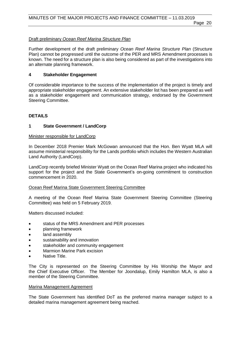# Draft preliminary *Ocean Reef Marina Structure Plan*

Further development of the draft preliminary *Ocean Reef Marina Structure Plan* (Structure Plan) cannot be progressed until the outcome of the PER and MRS Amendment processes is known. The need for a structure plan is also being considered as part of the investigations into an alternate planning framework.

# **4 Stakeholder Engagement**

Of considerable importance to the success of the implementation of the project is timely and appropriate stakeholder engagement. An extensive stakeholder list has been prepared as well as a stakeholder engagement and communication strategy, endorsed by the Government Steering Committee.

# **DETAILS**

# **1 State Government / LandCorp**

## Minister responsible for LandCorp

In December 2018 Premier Mark McGowan announced that the Hon. Ben Wyatt MLA will assume ministerial responsibility for the Lands portfolio which includes the Western Australian Land Authority (LandCorp).

LandCorp recently briefed Minister Wyatt on the Ocean Reef Marina project who indicated his support for the project and the State Government's on-going commitment to construction commencement in 2020.

## Ocean Reef Marina State Government Steering Committee

A meeting of the Ocean Reef Marina State Government Steering Committee (Steering Committee) was held on 5 February 2019.

Matters discussed included:

- status of the MRS Amendment and PER processes
- planning framework
- land assembly
- sustainability and innovation
- stakeholder and community engagement
- Marmion Marine Park excision
- Native Title.

The City is represented on the Steering Committee by His Worship the Mayor and the Chief Executive Officer. The Member for Joondalup, Emily Hamilton MLA, is also a member of the Steering Committee.

## Marina Management Agreement

The State Government has identified DoT as the preferred marina manager subject to a detailed marina management agreement being reached.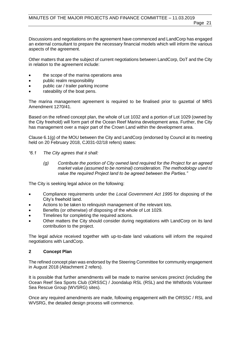Discussions and negotiations on the agreement have commenced and LandCorp has engaged an external consultant to prepare the necessary financial models which will inform the various aspects of the agreement.

Other matters that are the subject of current negotiations between LandCorp, DoT and the City in relation to the agreement include:

- the scope of the marina operations area
- public realm responsibility
- public car / trailer parking income
- rateability of the boat pens.

The marina management agreement is required to be finalised prior to gazettal of MRS Amendment 1270/41.

Based on the refined concept plan, the whole of Lot 1032 and a portion of Lot 1029 (owned by the City freehold) will form part of the Ocean Reef Marina development area. Further, the City has management over a major part of the Crown Land within the development area.

Clause 6.1(g) of the MOU between the City and LandCorp (endorsed by Council at its meeting held on 20 February 2018, CJ031-02/18 refers) states:

- *"6.1 The City agrees that it shall:*
	- *(g) Contribute the portion of City owned land required for the Project for an agreed market value (assumed to be nominal) consideration. The methodology used to value the required Project land to be agreed between the Parties."*

The City is seeking legal advice on the following:

- Compliance requirements under the *Local Government Act 1995* for disposing of the City's freehold land.
- Actions to be taken to relinquish management of the relevant lots.
- Benefits (or otherwise) of disposing of the whole of Lot 1029.
- Timelines for completing the required actions.
- Other matters the City should consider during negotiations with LandCorp on its land contribution to the project.

The legal advice received together with up-to-date land valuations will inform the required negotiations with LandCorp.

## **2 Concept Plan**

The refined concept plan was endorsed by the Steering Committee for community engagement in August 2018 (Attachment 2 refers).

It is possible that further amendments will be made to marine services precinct (including the Ocean Reef Sea Sports Club (ORSSC) / Joondalup RSL (RSL) and the Whitfords Volunteer Sea Rescue Group (WVSRG) sites).

Once any required amendments are made, following engagement with the ORSSC / RSL and WVSRG, the detailed design process will commence.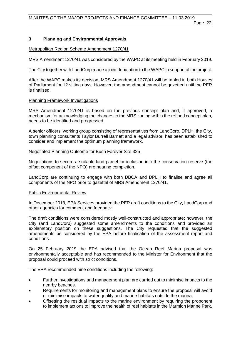# **3 Planning and Environmental Approvals**

# Metropolitan Region Scheme Amendment 1270/41

MRS Amendment 1270/41 was considered by the WAPC at its meeting held in February 2019.

The City together with LandCorp made a joint deputation to the WAPC in support of the project.

After the WAPC makes its decision, MRS Amendment 1270/41 will be tabled in both Houses of Parliament for 12 sitting days. However, the amendment cannot be gazetted until the PER is finalised.

# Planning Framework Investigations

MRS Amendment 1270/41 is based on the previous concept plan and, if approved, a mechanism for acknowledging the changes to the MRS zoning within the refined concept plan, needs to be identified and progressed.

A senior officers' working group consisting of representatives from LandCorp, DPLH, the City, town planning consultants Taylor Burrell Barnett and a legal advisor, has been established to consider and implement the optimum planning framework.

# Negotiated Planning Outcome for Bush Forever Site 325

Negotiations to secure a suitable land parcel for inclusion into the conservation reserve (the offset component of the NPO) are nearing completion.

LandCorp are continuing to engage with both DBCA and DPLH to finalise and agree all components of the NPO prior to gazettal of MRS Amendment 1270/41.

# Public Environmental Review

In December 2018, EPA Services provided the PER draft conditions to the City, LandCorp and other agencies for comment and feedback.

The draft conditions were considered mostly well-constructed and appropriate; however, the City (and LandCorp) suggested some amendments to the conditions and provided an explanatory position on these suggestions. The City requested that the suggested amendments be considered by the EPA before finalisation of the assessment report and conditions.

On 25 February 2019 the EPA advised that the Ocean Reef Marina proposal was environmentally acceptable and has recommended to the Minister for Environment that the proposal could proceed with strict conditions.

The EPA recommended nine conditions including the following:

- Further investigations and management plan are carried out to minimise impacts to the nearby beaches.
- Requirements for monitoring and management plans to ensure the proposal will avoid or minimise impacts to water quality and marine habitats outside the marina.
- Offsetting the residual impacts to the marine environment by requiring the proponent to implement actions to improve the health of reef habitats in the Marmion Marine Park.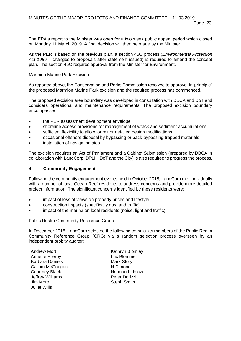The EPA's report to the Minister was open for a two week public appeal period which closed on Monday 11 March 2019. A final decision will then be made by the Minister.

As the PER is based on the previous plan, a section 45C process (*Environmental Protection Act 1986 –* changes to proposals after statement issued) is required to amend the concept plan. The section 45C requires approval from the Minister for Environment.

#### Marmion Marine Park Excision

As reported above, the Conservation and Parks Commission resolved to approve "in-principle" the proposed Marmion Marine Park excision and the required process has commenced.

The proposed excision area boundary was developed in consultation with DBCA and DoT and considers operational and maintenance requirements. The proposed excision boundary encompasses:

- the PER assessment development envelope
- shoreline access provisions for management of wrack and sediment accumulations
- sufficient flexibility to allow for minor detailed design modifications
- occasional offshore disposal by bypassing or back-bypassing trapped materials
- installation of navigation aids.

The excision requires an Act of Parliament and a Cabinet Submission (prepared by DBCA in collaboration with LandCorp, DPLH, DoT and the City) is also required to progress the process.

#### **4 Community Engagement**

Following the community engagement events held in October 2018, LandCorp met individually with a number of local Ocean Reef residents to address concerns and provide more detailed project information. The significant concerns identified by these residents were:

- impact of loss of views on property prices and lifestyle
- construction impacts (specifically dust and traffic)
- impact of the marina on local residents (noise, light and traffic).

#### Public Realm Community Reference Group

In December 2018, LandCorp selected the following community members of the Public Realm Community Reference Group (CRG) via a random selection process overseen by an independent probity auditor:

Andrew Mort<br>
Annette Ellerby<br>
Annette Ellerby<br>
Cuc Blomme **Annette Ellerby** Barbara Daniels Mark Story Callum McGougan N Dimond Courtney Black Norman Liddlow<br>
Jeffrey Williams<br>
Peter Dorizzi Jeffrey Williams<br>Jim Moro Juliet Wills

Steph Smith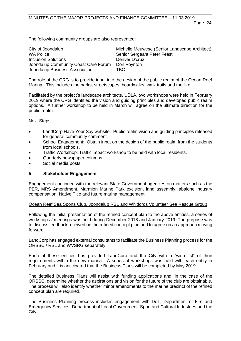The following community groups are also represented:

| City of Joondalup<br>WA Police       | Michelle Meuwese (Senior Landscape Architect)<br>Senior Sergeant Peter Feast |
|--------------------------------------|------------------------------------------------------------------------------|
| <b>Inclusion Solutions</b>           | Denver D'cruz                                                                |
| Joondalup Community Coast Care Forum | Don Poynton                                                                  |
| Joondalup Business Association       | TBC.                                                                         |

The role of the CRG is to provide input into the design of the public realm of the Ocean Reef Marina. This includes the parks, streetscapes, boardwalks, walk trails and the like.

Facilitated by the project's landscape architects, UDLA, two workshops were held in February 2019 where the CRG identified the vision and guiding principles and developed public realm options. A further workshop to be held in March will agree on the ultimate direction for the public realm.

#### Next Steps

- LandCorp Have Your Say website: Public realm vision and guiding principles released for general community comment.
- School Engagement: Obtain input on the design of the public realm from the students from local schools.
- Traffic Workshop: Traffic impact workshop to be held with local residents.
- Quarterly newspaper columns.
- Social media posts.

# **5 Stakeholder Engagement**

Engagement continued with the relevant State Government agencies on matters such as the PER, MRS Amendment, Marmion Marine Park excision, land assembly, abalone industry compensation, Native Title and future marina management.

## Ocean Reef Sea Sports Club, Joondalup RSL and Whitfords Volunteer Sea Rescue Group

Following the initial presentation of the refined concept plan to the above entities, a series of workshops / meetings was held during December 2018 and January 2019. The purpose was to discuss feedback received on the refined concept plan and to agree on an approach moving forward.

LandCorp has engaged external consultants to facilitate the Business Planning process for the ORSSC / RSL and WVSRG separately.

Each of these entities has provided LandCorp and the City with a "wish list" of their requirements within the new marina. A series of workshops was held with each entity in February and it is anticipated that the Business Plans will be completed by May 2019.

The detailed Business Plans will assist with funding applications and, in the case of the ORSSC, determine whether the aspirations and vision for the future of the club are obtainable. The process will also identify whether minor amendments to the marine precinct of the refined concept plan are required.

The Business Planning process includes engagement with DoT, Department of Fire and Emergency Services, Department of Local Government, Sport and Cultural Industries and the City.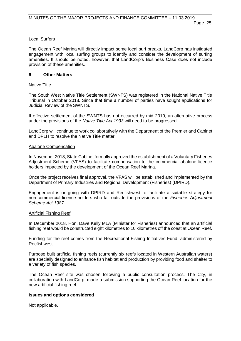#### Local Surfers

The Ocean Reef Marina will directly impact some local surf breaks. LandCorp has instigated engagement with local surfing groups to identify and consider the development of surfing amenities. It should be noted, however, that LandCorp's Business Case does not include provision of these amenities.

#### **6 Other Matters**

#### Native Title

The South West Native Title Settlement (SWNTS) was registered in the National Native Title Tribunal in October 2018. Since that time a number of parties have sought applications for Judicial Review of the SWNTS.

If effective settlement of the SWNTS has not occurred by mid 2019, an alternative process under the provisions of the *Native Title Act 1993* will need to be progressed.

LandCorp will continue to work collaboratively with the Department of the Premier and Cabinet and DPLH to resolve the Native Title matter.

#### Abalone Compensation

In November 2018, State Cabinet formally approved the establishment of a Voluntary Fisheries Adjustment Scheme (VFAS) to facilitate compensation to the commercial abalone licence holders impacted by the development of the Ocean Reef Marina.

Once the project receives final approval, the VFAS will be established and implemented by the Department of Primary Industries and Regional Development (Fisheries) (DPIRD).

Engagement is on-going with DPIRD and Recfishwest to facilitate a suitable strategy for non-commercial licence holders who fall outside the provisions of the *Fisheries Adjustment Scheme Act 1987.*

#### Artificial Fishing Reef

In December 2018, Hon. Dave Kelly MLA (Minister for Fisheries) announced that an artificial fishing reef would be constructed eight kilometres to 10 kilometres off the coast at Ocean Reef.

Funding for the reef comes from the Recreational Fishing Initiatives Fund, administered by Recfishwest.

Purpose built artificial fishing reefs (currently six reefs located in Western Australian waters) are specially designed to enhance fish habitat and production by providing food and shelter to a variety of fish species.

The Ocean Reef site was chosen following a public consultation process. The City, in collaboration with LandCorp, made a submission supporting the Ocean Reef location for the new artificial fishing reef.

#### **Issues and options considered**

Not applicable.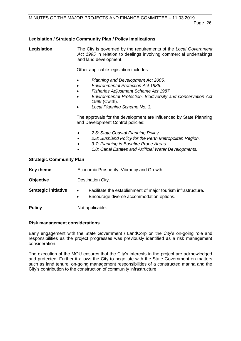# **Legislation / Strategic Community Plan / Policy implications**

| Legislation                     | The City is governed by the requirements of the Local Government<br>Act 1995 in relation to dealings involving commercial undertakings<br>and land development.<br>Other applicable legislation includes:<br>Planning and Development Act 2005. |  |  |
|---------------------------------|-------------------------------------------------------------------------------------------------------------------------------------------------------------------------------------------------------------------------------------------------|--|--|
|                                 | <b>Environmental Protection Act 1986.</b>                                                                                                                                                                                                       |  |  |
|                                 | Fisheries Adjustment Scheme Act 1987.<br>Environmental Protection, Biodiversity and Conservation Act                                                                                                                                            |  |  |
|                                 | 1999 (Cwlth).                                                                                                                                                                                                                                   |  |  |
|                                 | Local Planning Scheme No. 3.                                                                                                                                                                                                                    |  |  |
|                                 | The approvals for the development are influenced by State Planning<br>and Development Control policies:                                                                                                                                         |  |  |
|                                 | 2.6: State Coastal Planning Policy.<br>2.8: Bushland Policy for the Perth Metropolitan Region.<br>3.7: Planning in Bushfire Prone Areas.<br>1.8: Canal Estates and Artificial Water Developments.                                               |  |  |
| <b>Strategic Community Plan</b> |                                                                                                                                                                                                                                                 |  |  |
| <b>Key theme</b>                | Economic Prosperity, Vibrancy and Growth.                                                                                                                                                                                                       |  |  |
| <b>Objective</b>                | Destination City.                                                                                                                                                                                                                               |  |  |
| <b>Strategic initiative</b>     | Facilitate the establishment of major tourism infrastructure.<br>Encourage diverse accommodation options.                                                                                                                                       |  |  |
| <b>Policy</b>                   | Not applicable.                                                                                                                                                                                                                                 |  |  |

## **Risk management considerations**

Early engagement with the State Government / LandCorp on the City's on-going role and responsibilities as the project progresses was previously identified as a risk management consideration.

The execution of the MOU ensures that the City's interests in the project are acknowledged and protected. Further it allows the City to negotiate with the State Government on matters such as land tenure, on-going management responsibilities of a constructed marina and the City's contribution to the construction of community infrastructure.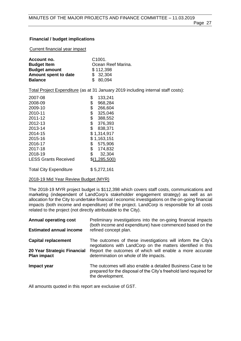## **Financial / budget implications**

Current financial year impact

| Account no.          | C <sub>1001</sub>  |
|----------------------|--------------------|
| <b>Budget Item</b>   | Ocean Reef Marina. |
| <b>Budget amount</b> | \$112,398          |
| Amount spent to date | \$32,304           |
| <b>Balance</b>       | \$80,094           |

Total Project Expenditure (as at 31 January 2019 including internal staff costs):

| 2007-08                       | \$<br>133,241 |
|-------------------------------|---------------|
| 2008-09                       | \$<br>968,284 |
| 2009-10                       | \$<br>266,604 |
| 2010-11                       | \$<br>325,046 |
| 2011-12                       | \$<br>388,552 |
| 2012-13                       | \$<br>376,393 |
| 2013-14                       | \$<br>838,371 |
| 2014-15                       | \$1,314,917   |
| 2015-16                       | \$1,163,151   |
| 2016-17                       | \$<br>575,906 |
| 2017-18                       | \$<br>174,832 |
| 2018-19                       | \$<br>32,304  |
| <b>LESS Grants Received</b>   | \$(1,285,500) |
|                               |               |
| <b>Total City Expenditure</b> | \$5,272,161   |

# 2018-19 Mid Year Review Budget (MYR)

The 2018-19 MYR project budget is \$112,398 which covers staff costs, communications and marketing (independent of LandCorp's stakeholder engagement strategy) as well as an allocation for the City to undertake financial / economic investigations on the on-going financial impacts (both income and expenditure) of the project. LandCorp is responsible for all costs related to the project (not directly attributable to the City).

#### **Annual operating cost** Preliminary investigations into the on-going financial impacts (both income and expenditure) have commenced based on the refined concept plan. The outcomes of these investigations will inform the City's negotiations with LandCorp on the matters identified in this Report the outcomes of which will enable a more accurate determination on whole of life impacts. The outcomes will also enable a detailed Business Case to be prepared for the disposal of the City's freehold land required for the development. **Estimated annual income Capital replacement 20 Year Strategic Financial Plan impact Impact year**

All amounts quoted in this report are exclusive of GST.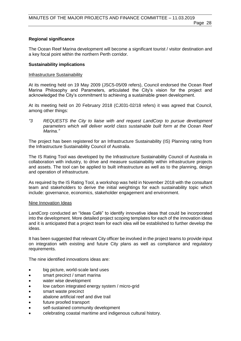## **Regional significance**

The Ocean Reef Marina development will become a significant tourist / visitor destination and a key focal point within the northern Perth corridor.

#### **Sustainability implications**

#### Infrastructure Sustainability

At its meeting held on 19 May 2009 (JSC5-05/09 refers), Council endorsed the Ocean Reef Marina Philosophy and Parameters, articulated the City's vision for the project and acknowledged the City's commitment to achieving a sustainable green development.

At its meeting held on 20 February 2018 (CJ031-02/18 refers) it was agreed that Council, among other things:

*"3 REQUESTS the City to liaise with and request LandCorp to pursue development parameters which will deliver world class sustainable built form at the Ocean Reef Marina."*

The project has been registered for an Infrastructure Sustainability (IS) Planning rating from the Infrastructure Sustainability Council of Australia.

The IS Rating Tool was developed by the Infrastructure Sustainability Council of Australia in collaboration with industry, to drive and measure sustainability within infrastructure projects and assets. The tool can be applied to built infrastructure as well as to the planning, design and operation of infrastructure.

As required by the IS Rating Tool, a workshop was held in November 2018 with the consultant team and stakeholders to derive the initial weightings for each sustainability topic which include: governance, economics, stakeholder engagement and environment.

#### Nine Innovation Ideas

LandCorp conducted an "Ideas Café" to identify innovative ideas that could be incorporated into the development. More detailed project scoping templates for each of the innovation ideas and it is anticipated that a project team for each idea will be established to further develop the ideas.

It has been suggested that relevant City officer be involved in the project teams to provide input on integration with existing and future City plans as well as compliance and regulatory requirements.

The nine identified innovations ideas are:

- big picture, world-scale land uses
- smart precinct / smart marina
- water wise development
- low carbon integrated energy system / micro-grid
- smart waste precinct
- abalone artificial reef and dive trail
- future proofed transport
- self-sustained community development
- celebrating coastal maritime and indigenous cultural history.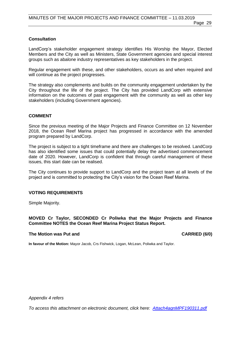## **Consultation**

LandCorp's stakeholder engagement strategy identifies His Worship the Mayor, Elected Members and the City as well as Ministers, State Government agencies and special interest groups such as abalone industry representatives as key stakeholders in the project.

Regular engagement with these, and other stakeholders, occurs as and when required and will continue as the project progresses.

The strategy also complements and builds on the community engagement undertaken by the City throughout the life of the project. The City has provided LandCorp with extensive information on the outcomes of past engagement with the community as well as other key stakeholders (including Government agencies).

## **COMMENT**

Since the previous meeting of the Major Projects and Finance Committee on 12 November 2018, the Ocean Reef Marina project has progressed in accordance with the amended program prepared by LandCorp.

The project is subject to a tight timeframe and there are challenges to be resolved. LandCorp has also identified some issues that could potentially delay the advertised commencement date of 2020. However, LandCorp is confident that through careful management of these issues, this start date can be realised.

The City continues to provide support to LandCorp and the project team at all levels of the project and is committed to protecting the City's vision for the Ocean Reef Marina.

## **VOTING REQUIREMENTS**

Simple Majority.

## **MOVED Cr Taylor, SECONDED Cr Poliwka that the Major Projects and Finance Committee NOTES the Ocean Reef Marina Project Status Report.**

## **The Motion was Put and CARRIED (6/0)**

**In favour of the Motion:** Mayor Jacob, Crs Fishwick, Logan, McLean, Poliwka and Taylor.

*Appendix 4 refers*

*[To access this attachment on electronic document, click here: Attach4agnMPF190311.pdf](http://www.joondalup.wa.gov.au/files/committees/MPFI/2019/Attach4agnMPF190311.pdf)*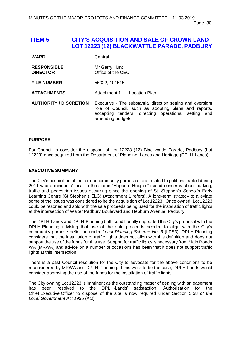# <span id="page-29-0"></span>**ITEM 5 CITY'S ACQUISITION AND SALE OF CROWN LAND - LOT 12223 (12) BLACKWATTLE PARADE, PADBURY**

| <b>WARD</b>                           | Central                                                                                                                                                                                          |
|---------------------------------------|--------------------------------------------------------------------------------------------------------------------------------------------------------------------------------------------------|
| <b>RESPONSIBLE</b><br><b>DIRECTOR</b> | Mr Garry Hunt<br>Office of the CEO                                                                                                                                                               |
| <b>FILE NUMBER</b>                    | 55022, 101515                                                                                                                                                                                    |
| <b>ATTACHMENTS</b>                    | Attachment 1<br><b>Location Plan</b>                                                                                                                                                             |
| <b>AUTHORITY / DISCRETION</b>         | Executive - The substantial direction setting and oversight<br>role of Council, such as adopting plans and reports,<br>accepting tenders, directing operations, setting and<br>amending budgets. |

## **PURPOSE**

For Council to consider the disposal of Lot 12223 (12) Blackwattle Parade, Padbury (Lot 12223) once acquired from the Department of Planning, Lands and Heritage (DPLH-Lands).

#### **EXECUTIVE SUMMARY**

The City's acquisition of the former community purpose site is related to petitions tabled during 2011 where residents' local to the site in "Hepburn Heights" raised concerns about parking, traffic and pedestrian issues occurring since the opening of St. Stephen's School's Early Learning Centre (St Stephen's ELC) (Attachment 1 refers). A long-term strategy to alleviate some of the issues was considered to be the acquisition of Lot 12223. Once owned, Lot 12223 could be rezoned and sold with the sale proceeds being used for the installation of traffic lights at the intersection of Walter Padbury Boulevard and Hepburn Avenue, Padbury.

The DPLH-Lands and DPLH-Planning both conditionally supported the City's proposal with the DPLH-Planning advising that use of the sale proceeds needed to align with the City's community purpose definition under *Local Planning Scheme No. 3* (LPS3). DPLH-Planning considers that the installation of traffic lights does not align with this definition and does not support the use of the funds for this use. Support for traffic lights is necessary from Main Roads WA (MRWA) and advice on a number of occasions has been that it does not support traffic lights at this intersection.

There is a past Council resolution for the City to advocate for the above conditions to be reconsidered by MRWA and DPLH-Planning. If this were to be the case, DPLH-Lands would consider approving the use of the funds for the installation of traffic lights.

The City owning Lot 12223 is imminent as the outstanding matter of dealing with an easement has been resolved to the DPLH-Lands' satisfaction. Authorisation for the Chief Executive Officer to dispose of the site is now required under Section 3.58 *of the Local Government Act 1995* (Act).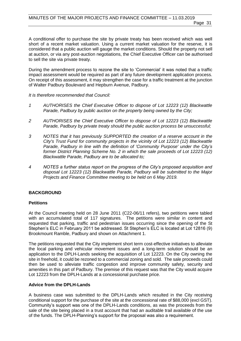A conditional offer to purchase the site by private treaty has been received which was well short of a recent market valuation. Using a current market valuation for the reserve, it is considered that a public auction will gauge the market conditions. Should the property not sell at auction, or via any post-auction negotiations, the Chief Executive Officer can be authorised to sell the site via private treaty.

During the amendment process to rezone the site to 'Commercial' it was noted that a traffic impact assessment would be required as part of any future development application process. On receipt of this assessment, it may strengthen the case for a traffic treatment at the junction of Walter Padbury Boulevard and Hepburn Avenue, Padbury.

*It is therefore recommended that Council:*

- *1 AUTHORISES the Chief Executive Officer to dispose of Lot 12223 (12) Blackwattle Parade, Padbury by public auction on the property being owned by the City;*
- *2 AUTHORISES the Chief Executive Officer to dispose of Lot 12223 (12) Blackwattle Parade, Padbury by private treaty should the public auction process be unsuccessful;*
- *3 NOTES that it has previously SUPPORTED the creation of a reserve account in the City's Trust Fund for community projects in the vicinity of Lot 12223 (12) Blackwattle Parade, Padbury in line with the definition of 'Community Purpose' under the City's former District Planning Scheme No. 2 in which the sale proceeds of Lot 12223 (12) Blackwattle Parade, Padbury are to be allocated to;*
- *4 NOTES a further status report on the progress of the City's proposed acquisition and disposal Lot 12223 (12) Blackwattle Parade, Padbury will be submitted to the Major Projects and Finance Committee meeting to be held on 6 May 2019.*

# **BACKGROUND**

## **Petitions**

At the Council meeting held on 28 June 2011 (C22-06/11 refers), two petitions were tabled with an accumulated total of 117 signatures. The petitions were similar in content and requested that parking, traffic and pedestrian issues occurring since the opening of the St Stephen's ELC in February 2011 be addressed. St Stephen's ELC is located at Lot 12816 (9) Brookmount Ramble, Padbury and shown on Attachment 1.

The petitions requested that the City implement short term cost-effective initiatives to alleviate the local parking and vehicular movement issues and a long-term solution should be an application to the DPLH-Lands seeking the acquisition of Lot 12223. On the City owning the site in freehold, it could be rezoned to a commercial zoning and sold. The sale proceeds could then be used to alleviate traffic congestion and improve community safety, security and amenities in this part of Padbury. The premise of this request was that the City would acquire Lot 12223 from the DPLH-Lands at a concessional purchase price.

#### **Advice from the DPLH-Lands**

A business case was submitted to the DPLH-Lands which resulted in the City receiving conditional support for the purchase of the site at the concessional rate of \$88,000 (excl GST). Community's support was one of the DPLH-Lands conditions, as was the proceeds from the sale of the site being placed in a trust account that had an auditable trail available of the use of the funds. The DPLH-Planning's support for the proposal was also a requirement.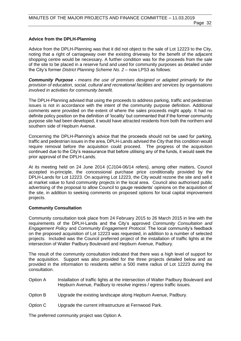#### **Advice from the DPLH-Planning**

Advice from the DPLH-Planning was that it did not object to the sale of Lot 12223 to the City, noting that a right of carriageway over the existing driveway for the benefit of the adjacent shopping centre would be necessary. A further condition was for the proceeds from the sale of the site to be placed in a reserve fund and used for community purposes as detailed under the City's former *District Planning Scheme No. 2* – now LPS3 as follows:

*Community Purpose - means the use of premises designed or adapted primarily for the provision of education, social, cultural and recreational facilities and services by organisations involved in activities for community benefit.* 

The DPLH-Planning advised that using the proceeds to address parking, traffic and pedestrian issues is not in accordance with the intent of the community purpose definition. Additional comments were provided on the extent of where the sales proceeds might apply. It had no definite policy position on the definition of 'locality' but commented that if the former community purpose site had been developed, it would have attracted residents from both the northern and southern side of Hepburn Avenue.

Concerning the DPLH-Planning's advice that the proceeds should not be used for parking, traffic and pedestrian issues in the area, DPLH-Lands advised the City that this condition would require removal before the acquisition could proceed. The progress of the acquisition continued due to the City's reassurance that before utilising any of the funds, it would seek the prior approval of the DPLH-Lands.

At its meeting held on 24 June 2014 (CJ104-06/14 refers), among other matters, Council accepted in-principle, the concessional purchase price conditionally provided by the DPLH-Lands for Lot 12223. On acquiring Lot 12223, the City would rezone the site and sell it at market value to fund community projects in the local area. Council also authorised public advertising of the proposal to allow Council to gauge residents' opinions on the acquisition of the site, in addition to seeking comments on proposed options for local capital improvement projects.

## **Community Consultation**

Community consultation took place from 24 February 2015 to 26 March 2015 in line with the requirements of the DPLH-Lands and the City's approved *Community Consultation and Engagement Policy* and *Community Engagement Protocol*. The local community's feedback on the proposed acquisition of Lot 12223 was requested, in addition to a number of selected projects. Included was the Council preferred project of the installation of traffic lights at the intersection of Walter Padbury Boulevard and Hepburn Avenue, Padbury.

The result of the community consultation indicated that there was a high level of support for the acquisition. Support was also provided for the three projects detailed below and as provided in the information to residents within a 500 metre radius of Lot 12223 during the consultation.

- Option A Installation of traffic lights at the intersection of Walter Padbury Boulevard and Hepburn Avenue, Padbury to resolve ingress / egress traffic issues.
- Option B Upgrade the existing landscape along Hepburn Avenue, Padbury.
- Option C Upgrade the current infrastructure at Fernwood Park.

The preferred community project was Option A.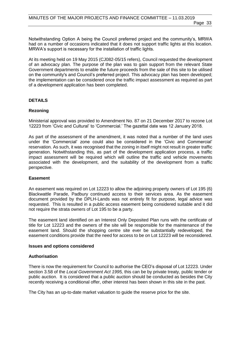Notwithstanding Option A being the Council preferred project and the community's, MRWA had on a number of occasions indicated that it does not support traffic lights at this location. MRWA's support is necessary for the installation of traffic lights.

At its meeting held on 19 May 2015 (CJ082-05/15 refers), Council requested the development of an advocacy plan. The purpose of the plan was to gain support from the relevant State Government departments to enable the future proceeds from the sale of this site to be utilised on the community's and Council's preferred project. This advocacy plan has been developed; the implementation can be considered once the traffic impact assessment as required as part of a development application has been completed.

## **DETAILS**

## **Rezoning**

Ministerial approval was provided to Amendment No. 87 on 21 December 2017 to rezone Lot 12223 from 'Civic and Cultural' to 'Commercial.' The gazettal date was 12 January 2018.

As part of the assessment of the amendment, it was noted that a number of the land uses under the 'Commercial' zone could also be considered in the 'Civic and Commercial' reservation. As such, it was recognised that the zoning in itself might not result in greater traffic generation. Notwithstanding this, as part of the development application process, a traffic impact assessment will be required which will outline the traffic and vehicle movements associated with the development, and the suitability of the development from a traffic perspective.

## **Easement**

An easement was required on Lot 12223 to allow the adjoining property owners of Lot 195 (6) Blackwattle Parade, Padbury continued access to their services area. As the easement document provided by the DPLH-Lands was not entirely fit for purpose, legal advice was requested. This is resulted in a public access easement being considered suitable and it did not require the strata owners of Lot 195 to be a party.

The easement land identified on an Interest Only Deposited Plan runs with the certificate of title for Lot 12223 and the owners of the site will be responsible for the maintenance of the easement land. Should the shopping centre site ever be substantially redeveloped, the easement conditions provide that the need for access to be on Lot 12223 will be reconsidered.

## **Issues and options considered**

## **Authorisation**

There is now the requirement for Council to authorise the CEO's disposal of Lot 12223. Under section 3.58 of the *Local Government Act 1995,* this can be by private treaty, public tender or public auction. It is considered that a public auction should be conducted as besides the City recently receiving a conditional offer, other interest has been shown in this site in the past.

The City has an up-to-date market valuation to guide the reserve price for the site.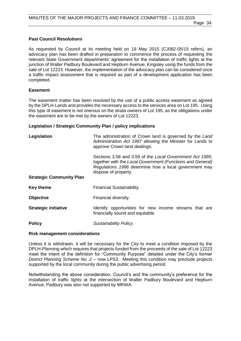## **Past Council Resolutions**

As requested by Council at its meeting held on 19 May 2015 (CJ082-05/15 refers), an advocacy plan has been drafted in preparation to commence the process of requesting the relevant State Government departments' agreement for the installation of traffic lights at the junction of Walter Padbury Boulevard and Hepburn Avenue, Kingsley using the funds from the sale of Lot 12223. However, the implementation of the advocacy plan can be considered once a traffic impact assessment that is required as part of a development application has been completed.

## **Easement**

The easement matter has been resolved by the use of a public access easement as agreed by the DPLH-Lands and provides the necessary access to the services area on Lot 195. Using this type of easement is not onerous on the strata owners of Lot 195, as the obligations under the easement are to be met by the owners of Lot 12223.

## **Legislation / Strategic Community Plan / policy implications**

| Legislation                     | The administration of Crown land is governed by the Land<br>Administration Act 1997 allowing the Minister for Lands to<br>approve Crown land dealings.                                                  |  |
|---------------------------------|---------------------------------------------------------------------------------------------------------------------------------------------------------------------------------------------------------|--|
| <b>Strategic Community Plan</b> | Sections 3.58 and 3.59 of the Local Government Act 1995,<br>together with the Local Government (Functions and General)<br>Regulations 1996 determine how a local government may<br>dispose of property. |  |
| <b>Key theme</b>                | Financial Sustainability.                                                                                                                                                                               |  |
| <b>Objective</b>                | Financial diversity.                                                                                                                                                                                    |  |
| <b>Strategic initiative</b>     | Identify opportunities for new income streams that are<br>financially sound and equitable.                                                                                                              |  |
| <b>Policy</b>                   | Sustainability Policy.                                                                                                                                                                                  |  |

#### **Risk management considerations**

Unless it is withdrawn, it will be necessary for the City to meet a condition imposed by the DPLH-Planning which requires that projects funded from the proceeds of the sale of Lot 12223 meet the intent of the definition for "Community Purpose" detailed under the City's former *District Planning Scheme No. 2* – now LPS3. Meeting this condition may preclude projects supported by the local community during the public advertising period.

Notwithstanding the above consideration, Council's and the community's preference for the installation of traffic lights at the intersection of Walter Padbury Boulevard and Hepburn Avenue, Padbury was also not supported by MRWA.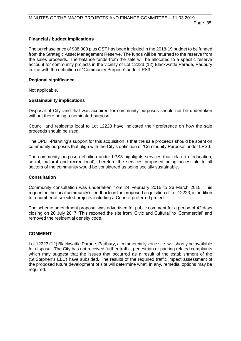#### **Financial / budget implications**

The purchase price of \$88,000 plus GST has been included in the 2018-19 budget to be funded from the Strategic Asset Management Reserve. The funds will be returned to the reserve from the sales proceeds. The balance funds from the sale will be allocated to a specific reserve account for community projects in the vicinity of Lot 12223 (12) Blackwattle Parade, Padbury in line with the definition of "Community Purpose" under LPS3.

#### **Regional significance**

Not applicable.

#### **Sustainability implications**

Disposal of City land that was acquired for community purposes should not be undertaken without there being a nominated purpose.

Council and residents local to Lot 12223 have indicated their preference on how the sale proceeds should be used.

The DPLH-Planning's support for this acquisition is that the sale proceeds should be spent on community purposes that align with the City's definition of 'Community Purpose' under LPS3.

The community purpose definition under LPS3 highlights services that relate to 'education, social, cultural and recreational', therefore the services proposed being accessible to all sectors of the community would be considered as being socially sustainable.

## **Consultation**

Community consultation was undertaken from 24 February 2015 to 26 March 2015. This requested the local community's feedback on the proposed acquisition of Lot 12223, in addition to a number of selected projects including a Council preferred project.

The scheme amendment proposal was advertised for public comment for a period of 42 days closing on 20 July 2017. This rezoned the site from 'Civic and Cultural' to 'Commercial' and removed the residential density code.

## **COMMENT**

Lot 12223 (12) Blackwattle Parade, Padbury, a commercially zone site, will shortly be available for disposal. The City has not received further traffic, pedestrian or parking related complaints which may suggest that the issues that occurred as a result of the establishment of the (St Stephen's ELC) have subsided. The results of the required traffic impact assessment of the proposed future development of site will determine what, in any, remedial options may be required.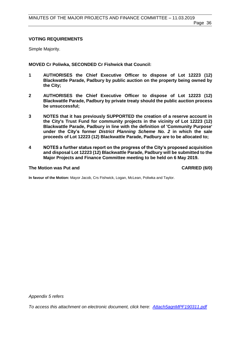# **VOTING REQUIREMENTS**

Simple Majority.

**MOVED Cr Poliwka, SECONDED Cr Fishwick that Council:**

- **1 AUTHORISES the Chief Executive Officer to dispose of Lot 12223 (12) Blackwattle Parade, Padbury by public auction on the property being owned by the City;**
- **2 AUTHORISES the Chief Executive Officer to dispose of Lot 12223 (12) Blackwattle Parade, Padbury by private treaty should the public auction process be unsuccessful;**
- **3 NOTES that it has previously SUPPORTED the creation of a reserve account in the City's Trust Fund for community projects in the vicinity of Lot 12223 (12) Blackwattle Parade, Padbury in line with the definition of 'Community Purpose' under the City's former** *District Planning Scheme No. 2* **in which the sale proceeds of Lot 12223 (12) Blackwattle Parade, Padbury are to be allocated to;**
- **4 NOTES a further status report on the progress of the City's proposed acquisition and disposal Lot 12223 (12) Blackwattle Parade, Padbury will be submitted to the Major Projects and Finance Committee meeting to be held on 6 May 2019.**

#### **The Motion was Put and CARRIED (6/0)**

**In favour of the Motion:** Mayor Jacob, Crs Fishwick, Logan, McLean, Poliwka and Taylor.

*Appendix 5 refers*

*[To access this attachment on electronic document, click here: Attach5agnMPF190311.pdf](http://www.joondalup.wa.gov.au/files/committees/MPFI/2019/Attach5agnMPF190311.pdf)*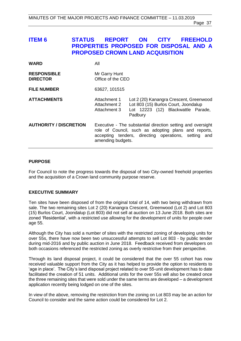# <span id="page-36-0"></span>**ITEM 6 STATUS REPORT ON CITY FREEHOLD PROPERTIES PROPOSED FOR DISPOSAL AND A PROPOSED CROWN LAND ACQUISITION**

| <b>WARD</b>                           | All                                                                                                                                                                                              |                                                                                                                                  |
|---------------------------------------|--------------------------------------------------------------------------------------------------------------------------------------------------------------------------------------------------|----------------------------------------------------------------------------------------------------------------------------------|
| <b>RESPONSIBLE</b><br><b>DIRECTOR</b> | Mr Garry Hunt<br>Office of the CEO                                                                                                                                                               |                                                                                                                                  |
| <b>FILE NUMBER</b>                    | 63627, 101515                                                                                                                                                                                    |                                                                                                                                  |
| <b>ATTACHMENTS</b>                    | Attachment 1<br>Attachment 2<br>Attachment 3                                                                                                                                                     | Lot 2 (20) Kanangra Crescent, Greenwood<br>Lot 803 (15) Burlos Court, Joondalup<br>Lot 12223 (12) Blackwattle Parade,<br>Padbury |
| <b>AUTHORITY / DISCRETION</b>         | Executive - The substantial direction setting and oversight<br>role of Council, such as adopting plans and reports,<br>accepting tenders, directing operations, setting and<br>amending budgets. |                                                                                                                                  |

#### **PURPOSE**

For Council to note the progress towards the disposal of two City-owned freehold properties and the acquisition of a Crown land community purpose reserve.

## **EXECUTIVE SUMMARY**

Ten sites have been disposed of from the original total of 14, with two being withdrawn from sale. The two remaining sites Lot 2 (20) Kanangra Crescent, Greenwood (Lot 2) and Lot 803 (15) Burlos Court, Joondalup (Lot 803) did not sell at auction on 13 June 2018. Both sites are zoned 'Residential', with a restricted use allowing for the development of units for people over age 55.

Although the City has sold a number of sites with the restricted zoning of developing units for over 55s, there have now been two unsuccessful attempts to sell Lot 803 - by public tender during mid-2016 and by public auction in June 2018. Feedback received from developers on both occasions referenced the restricted zoning as overly restrictive from their perspective.

Through its land disposal project, it could be considered that the over 55 cohort has now received valuable support from the City as it has helped to provide the option to residents to 'age in place'. The City's land disposal project related to over 55-unit development has to date facilitated the creation of 51 units. Additional units for the over 55s will also be created once the three remaining sites that were sold under the same terms are developed – a development application recently being lodged on one of the sites.

In view of the above, removing the restriction from the zoning on Lot 803 may be an action for Council to consider and the same action could be considered for Lot 2.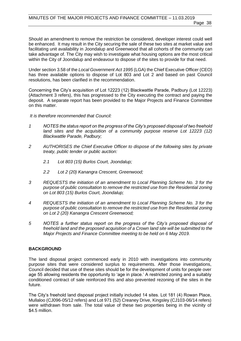Should an amendment to remove the restriction be considered, developer interest could well be enhanced. It may result in the City securing the sale of these two sites at market value and facilitating unit availability in Joondalup and Greenwood that all cohorts of the community can take advantage of. The City may wish to investigate what housing options are the most critical within the City of Joondalup and endeavour to dispose of the sites to provide for that need.

Under section 3.58 of the *Local Government Act 1995* (LGA) the Chief Executive Officer (CEO) has three available options to dispose of Lot 803 and Lot 2 and based on past Council resolutions, has been clarified in the recommendation.

Concerning the City's acquisition of Lot 12223 (12) Blackwattle Parade, Padbury (Lot 12223) (Attachment 3 refers), this has progressed to the City executing the contract and paying the deposit. A separate report has been provided to the Major Projects and Finance Committee on this matter.

*It is therefore recommended that Council:* 

- *1 NOTES the status report on the progress of the City's proposed disposal of two freehold land sites and the acquisition of a community purpose reserve Lot 12223 (12) Blackwattle Parade, Padbury;*
- *2 AUTHORISES the Chief Executive Officer to dispose of the following sites by private treaty, public tender or public auction:*
	- *2.1 Lot 803 (15) Burlos Court, Joondalup;*
	- *2.2 Lot 2 (20) Kanangra Crescent, Greenwood;*
- *3 REQUESTS the initiation of an amendment to Local Planning Scheme No. 3 for the purpose of public consultation to remove the restricted use from the Residential zoning on Lot 803 (15) Burlos Court, Joondalup;*
- *4 REQUESTS the initiation of an amendment to Local Planning Scheme No. 3 for the purpose of public consultation to remove the restricted use from the Residential zoning on Lot 2 (20) Kanangra Crescent Greenwood;*
- *5 NOTES a further status report on the progress of the City's proposed disposal of freehold land and the proposed acquisition of a Crown land site will be submitted to the Major Projects and Finance Committee meeting to be held on 6 May 2019.*

## **BACKGROUND**

The land disposal project commenced early in 2010 with investigations into community purpose sites that were considered surplus to requirements. After those investigations, Council decided that use of these sites should be for the development of units for people over age 55 allowing residents the opportunity to 'age in place.' A restricted zoning and a suitably conditioned contract of sale reinforced this and also prevented rezoning of the sites in the future.

The City's freehold land disposal project initially included 14 sites. Lot 181 (4) Rowan Place, Mullaloo (CJ096-05/12 refers) and Lot 971 (52) Creaney Drive, Kingsley (CJ103-06/14 refers) were withdrawn from sale. The total value of these two properties being in the vicinity of \$4.5 million.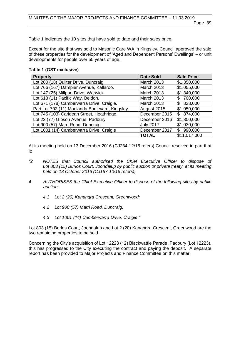Table 1 indicates the 10 sites that have sold to date and their sales price.

Except for the site that was sold to Masonic Care WA in Kingsley, Council approved the sale of these properties for the development of 'Aged and Dependent Persons' Dwellings' – or unit developments for people over 55 years of age.

**Table 1 (GST exclusive)**

| <b>Property</b>                                 | <b>Date Sold</b>  | <b>Sale Price</b> |
|-------------------------------------------------|-------------------|-------------------|
| Lot 200 (18) Quilter Drive, Duncraig.           | <b>March 2013</b> | \$1,350,000       |
| Lot 766 (167) Dampier Avenue, Kallaroo.         | <b>March 2013</b> | \$1,055,000       |
| Lot 147 (25) Millport Drive, Warwick.           | <b>March 2013</b> | \$1,340,000       |
| Lot 613 (11) Pacific Way, Beldon.               | <b>March 2013</b> | 700,000           |
| Lot 671 (178) Camberwarra Drive, Craigie.       | <b>March 2013</b> | 828,000<br>\$.    |
| Part Lot 702 (11) Moolanda Boulevard, Kingsley. | August 2015       | \$1,050,000       |
| Lot 745 (103) Caridean Street, Heathridge.      | December 2015     | 874,000<br>\$     |
| Lot 23 (77) Gibson Avenue, Padbury              | December 2016     | \$1,800,000       |
| Lot 900 (57) Marri Road, Duncraig               | <b>July 2017</b>  | \$1,030,000       |
| Lot 1001 (14) Camberwarra Drive, Craigie        | December 2017     | 990,000<br>\$.    |
|                                                 | <b>TOTAL</b>      | \$11,017,000      |

At its meeting held on 13 December 2016 (CJ234-12/16 refers) Council resolved in part that it:

- *"2 NOTES that Council authorised the Chief Executive Officer to dispose of Lot 803 (15) Burlos Court, Joondalup by public auction or private treaty, at its meeting held on 18 October 2016 (CJ167-10/16 refers);*
- *4 AUTHORISES the Chief Executive Officer to dispose of the following sites by public auction:* 
	- *4.1 Lot 2 (20) Kanangra Crescent, Greenwood;*
	- *4.2 Lot 900 (57) Marri Road, Duncraig;*
	- *4.3 Lot 1001 (14) Camberwarra Drive, Craigie."*

Lot 803 (15) Burlos Court, Joondalup and Lot 2 (20) Kanangra Crescent, Greenwood are the two remaining properties to be sold.

Concerning the City's acquisition of Lot 12223 (12) Blackwattle Parade, Padbury (Lot 12223), this has progressed to the City executing the contract and paying the deposit. A separate report has been provided to Major Projects and Finance Committee on this matter.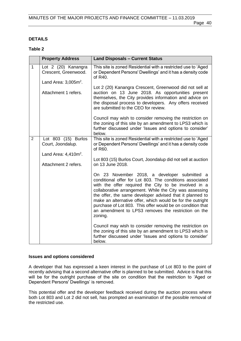## **DETAILS**

#### **Table 2**

|                | <b>Property Address</b>                                             | <b>Land Disposals - Current Status</b>                                                                                                                                                                                                                                                                                                                                                                                                                                                |
|----------------|---------------------------------------------------------------------|---------------------------------------------------------------------------------------------------------------------------------------------------------------------------------------------------------------------------------------------------------------------------------------------------------------------------------------------------------------------------------------------------------------------------------------------------------------------------------------|
| $\mathbf{1}$   | Lot 2 (20) Kanangra<br>Crescent, Greenwood.                         | This site is zoned Residential with a restricted use to 'Aged<br>or Dependent Persons' Dwellings' and it has a density code<br>of $R40.$                                                                                                                                                                                                                                                                                                                                              |
|                | Land Area: $3,005m^2$ .<br>Attachment 1 refers.                     | Lot 2 (20) Kanangra Crescent, Greenwood did not sell at<br>auction on 13 June 2018. As opportunities present<br>themselves, the City provides information and advice on<br>the disposal process to developers. Any offers received<br>are submitted to the CEO for review.                                                                                                                                                                                                            |
|                |                                                                     | Council may wish to consider removing the restriction on<br>the zoning of this site by an amendment to LPS3 which is<br>further discussed under 'Issues and options to consider'<br>below.                                                                                                                                                                                                                                                                                            |
| $\overline{2}$ | Lot 803 (15) Burlos<br>Court, Joondalup.<br>Land Area: $4,410m^2$ . | This site is zoned Residential with a restricted use to 'Aged<br>or Dependent Persons' Dwellings' and it has a density code<br>of R60.                                                                                                                                                                                                                                                                                                                                                |
|                | Attachment 2 refers.                                                | Lot 803 (15) Burlos Court, Joondalup did not sell at auction<br>on 13 June 2018.                                                                                                                                                                                                                                                                                                                                                                                                      |
|                |                                                                     | On 23 November 2018, a developer submitted a<br>conditional offer for Lot 803. The conditions associated<br>with the offer required the City to be involved in a<br>collaborative arrangement. While the City was assessing<br>the offer, the same developer advised that it planned to<br>make an alternative offer, which would be for the outright<br>purchase of Lot 803. This offer would be on condition that<br>an amendment to LPS3 removes the restriction on the<br>zoning. |
|                |                                                                     | Council may wish to consider removing the restriction on<br>the zoning of this site by an amendment to LPS3 which is<br>further discussed under 'Issues and options to consider'<br>below.                                                                                                                                                                                                                                                                                            |

#### **Issues and options considered**

A developer that has expressed a keen interest in the purchase of Lot 803 to the point of recently advising that a second alternative offer is planned to be submitted. Advice is that this will be for the outright purchase of the site on condition that the restriction to 'Aged or Dependent Persons' Dwellings' is removed.

This potential offer and the developer feedback received during the auction process where both Lot 803 and Lot 2 did not sell, has prompted an examination of the possible removal of the restricted use.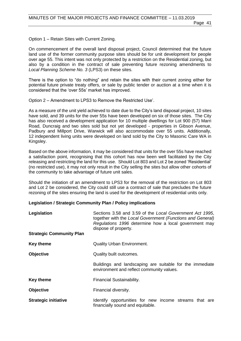Option 1 – Retain Sites with Current Zoning.

On commencement of the overall land disposal project, Council determined that the future land use of the former community purpose sites should be for unit development for people over age 55. This intent was not only protected by a restriction on the Residential zoning, but also by a condition in the contract of sale preventing future rezoning amendments to *Local Planning Scheme No. 3* (LPS3) on these sites.

There is the option to "do nothing" and retain the sites with their current zoning either for potential future private treaty offers, or sale by public tender or auction at a time when it is considered that the 'over 55s' market has improved.

Option 2 – Amendment to LPS3 to Remove the Restricted Use'.

As a measure of the unit yield achieved to date due to the City's land disposal project, 10 sites have sold, and 39 units for the over 55s have been developed on six of those sites. The City has also received a development application for 10 multiple dwellings for Lot 900 (57) Marri Road, Duncraig and two sites sold but not yet developed - properties in Gibson Avenue, Padbury and Millport Drive, Warwick will also accommodate over 55 units. Additionally, 12 independent living units were developed on land sold by the City to Masonic Care WA in Kingsley.

Based on the above information, it may be considered that units for the over 55s have reached a satisfaction point, recognising that this cohort has now been well facilitated by the City releasing and restricting the land for this use. Should Lot 803 and Lot 2 be zoned 'Residential' (no restricted use), it may not only result in the City selling the sites but allow other cohorts of the community to take advantage of future unit sales.

Should the initiation of an amendment to LPS3 for the removal of the restriction on Lot 803 and Lot 2 be considered, the City could still use a contract of sale that precludes the future rezoning of the sites ensuring the land is used for the development of residential units only.

# **Legislation / Strategic Community Plan / Policy implications**

| Legislation                     | Sections 3.58 and 3.59 of the Local Government Act 1995,<br>together with the Local Government (Functions and General)<br>Regulations 1996 determine how a local government may<br>dispose of property. |
|---------------------------------|---------------------------------------------------------------------------------------------------------------------------------------------------------------------------------------------------------|
| <b>Strategic Community Plan</b> |                                                                                                                                                                                                         |
| Key theme                       | <b>Quality Urban Environment.</b>                                                                                                                                                                       |
| <b>Objective</b>                | Quality built outcomes.                                                                                                                                                                                 |
|                                 | Buildings and landscaping are suitable for the immediate<br>environment and reflect community values.                                                                                                   |
| <b>Key theme</b>                | Financial Sustainability.                                                                                                                                                                               |
| <b>Objective</b>                | Financial diversity.                                                                                                                                                                                    |
| <b>Strategic initiative</b>     | Identify opportunities for new income streams that are<br>financially sound and equitable.                                                                                                              |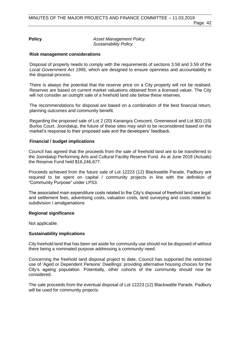Page 42

**Policy** *Asset Management Policy. Sustainability Policy.*

#### **Risk management considerations**

Disposal of property needs to comply with the requirements of sections 3.58 and 3.59 of the *Local Government Act 1995*, which are designed to ensure openness and accountability in the disposal process.

There is always the potential that the reserve price on a City property will not be realised. Reserves are based on current market valuations obtained from a licensed valuer. The City will not consider an outright sale of a freehold land site below these reserves.

The recommendations for disposal are based on a combination of the best financial return, planning outcomes and community benefit.

Regarding the proposed sale of Lot 2 (20) Kanangra Crescent, Greenwood and Lot 803 (15) Burlos Court, Joondalup, the future of these sites may wish to be reconsidered based on the market's response to their proposed sale and the developers' feedback.

#### **Financial / budget implications**

Council has agreed that the proceeds from the sale of freehold land are to be transferred to the Joondalup Performing Arts and Cultural Facility Reserve Fund. As at June 2018 (Actuals) the Reserve Fund held \$16,246,677.

Proceeds achieved from the future sale of Lot 12223 (12) Blackwattle Parade, Padbury are required to be spent on capital / community projects in line with the definition of "Community Purpose" under LPS3.

The associated main expenditure costs related to the City's disposal of freehold land are legal and settlement fees, advertising costs, valuation costs, land surveying and costs related to subdivision / amalgamations

#### **Regional significance**

Not applicable.

#### **Sustainability implications**

City freehold land that has been set aside for community use should not be disposed of without there being a nominated purpose addressing a community need.

Concerning the freehold land disposal project to date, Council has supported the restricted use of 'Aged or Dependent Persons' Dwellings' providing alternative housing choices for the City's ageing population. Potentially, other cohorts of the community should now be considered.

The sale proceeds from the eventual disposal of Lot 12223 (12) Blackwattle Parade, Padbury will be used for community projects.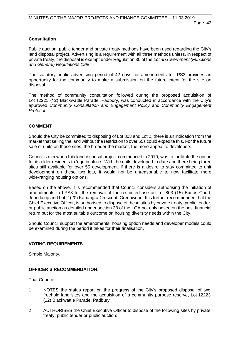## **Consultation**

Public auction, public tender and private treaty methods have been used regarding the City's land disposal project. Advertising is a requirement with all three methods unless, in respect of private treaty, the disposal is exempt under Regulation 30 of the *Local Government (Functions and General) Regulations 1996.*

The statutory public advertising period of 42 days for amendments to LPS3 provides an opportunity for the community to make a submission on the future intent for the site on disposal.

The method of community consultation followed during the proposed acquisition of Lot 12223 (12) Blackwattle Parade, Padbury, was conducted in accordance with the City's approved *Community Consultation and Engagement Policy* and *Community Engagement Protocol*.

## **COMMENT**

Should the City be committed to disposing of Lot 803 and Lot 2, there is an indication from the market that selling the land without the restriction to over 55s could expedite this. For the future sale of units on these sites, the broader the market, the more appeal to developers.

Council's aim when this land disposal project commenced in 2010, was to facilitate the option for its older residents to 'age in place.' With the units developed to date and there being three sites still available for over 55 development, if there is a desire to stay committed to unit development on these two lots, it would not be unreasonable to now facilitate more wide-ranging housing options.

Based on the above, it is recommended that Council considers authorising the initiation of amendments to LPS3 for the removal of the restricted use on Lot 803 (15) Burlos Court, Joondalup and Lot 2 (20) Kanangra Crescent, Greenwood. It is further recommended that the Chief Executive Officer, is authorised to dispose of these sites by private treaty, public tender, or public auction as detailed under section 38 of the LGA not only based on the best financial return but for the most suitable outcome on housing diversity needs within the City.

Should Council support the amendments, housing option needs and developer models could be examined during the period it takes for their finalisation.

## **VOTING REQUIREMENTS**

Simple Majority.

# **OFFICER'S RECOMMENDATION:**

That Council:

- 1 NOTES the status report on the progress of the City's proposed disposal of two freehold land sites and the acquisition of a community purpose reserve, Lot 12223 (12) Blackwattle Parade, Padbury;
- 2 AUTHORISES the Chief Executive Officer to dispose of the following sites by private treaty, public tender or public auction: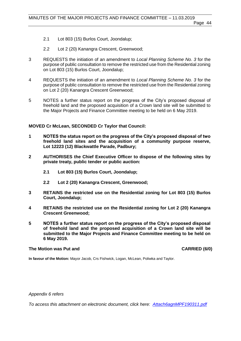- 2.1 Lot 803 (15) Burlos Court, Joondalup;
- 2.2 Lot 2 (20) Kanangra Crescent, Greenwood;
- 3 REQUESTS the initiation of an amendment to *Local Planning Scheme No. 3* for the purpose of public consultation to remove the restricted use from the Residential zoning on Lot 803 (15) Burlos Court, Joondalup;
- 4 REQUESTS the initiation of an amendment to *Local Planning Scheme No. 3* for the purpose of public consultation to remove the restricted use from the Residential zoning on Lot 2 (20) Kanangra Crescent Greenwood;
- 5 NOTES a further status report on the progress of the City's proposed disposal of freehold land and the proposed acquisition of a Crown land site will be submitted to the Major Projects and Finance Committee meeting to be held on 6 May 2019.

#### **MOVED Cr McLean, SECONDED Cr Taylor that Council:**

- **1 NOTES the status report on the progress of the City's proposed disposal of two freehold land sites and the acquisition of a community purpose reserve, Lot 12223 (12) Blackwattle Parade, Padbury;**
- **2 AUTHORISES the Chief Executive Officer to dispose of the following sites by private treaty, public tender or public auction:**
	- **2.1 Lot 803 (15) Burlos Court, Joondalup;**
	- **2.2 Lot 2 (20) Kanangra Crescent, Greenwood;**
- **3 RETAINS the restricted use on the Residential zoning for Lot 803 (15) Burlos Court, Joondalup;**
- **4 RETAINS the restricted use on the Residential zoning for Lot 2 (20) Kanangra Crescent Greenwood;**
- **5 NOTES a further status report on the progress of the City's proposed disposal of freehold land and the proposed acquisition of a Crown land site will be submitted to the Major Projects and Finance Committee meeting to be held on 6 May 2019.**

#### **The Motion was Put and CARRIED (6/0)**

**In favour of the Motion:** Mayor Jacob, Crs Fishwick, Logan, McLean, Poliwka and Taylor.

*Appendix 6 refers*

*[To access this attachment on electronic document, click here: Attach6agnMPF190311.pdf](http://www.joondalup.wa.gov.au/files/committees/MPFI/2019/Attach6agnMPF190311.pdf)*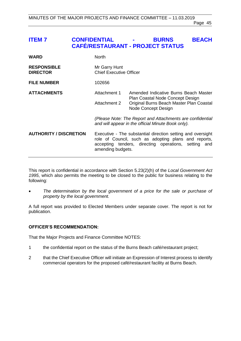Page 45

# <span id="page-44-0"></span>**ITEM 7 CONFIDENTIAL - BURNS BEACH CAFÉ/RESTAURANT - PROJECT STATUS**

| <b>WARD</b>                           | <b>North</b>                                                                                                                                                                                     |                                                                                                                                              |
|---------------------------------------|--------------------------------------------------------------------------------------------------------------------------------------------------------------------------------------------------|----------------------------------------------------------------------------------------------------------------------------------------------|
| <b>RESPONSIBLE</b><br><b>DIRECTOR</b> | Mr Garry Hunt<br><b>Chief Executive Officer</b>                                                                                                                                                  |                                                                                                                                              |
| <b>FILE NUMBER</b>                    | 102656                                                                                                                                                                                           |                                                                                                                                              |
| <b>ATTACHMENTS</b>                    | Attachment 1<br>Attachment 2                                                                                                                                                                     | Amended Indicative Burns Beach Master<br>Plan Coastal Node Concept Design<br>Original Burns Beach Master Plan Coastal<br>Node Concept Design |
|                                       |                                                                                                                                                                                                  | (Please Note: The Report and Attachments are confidential<br>and will appear in the official Minute Book only).                              |
| <b>AUTHORITY / DISCRETION</b>         | Executive - The substantial direction setting and oversight<br>role of Council, such as adopting plans and reports,<br>accepting tenders, directing operations, setting and<br>amending budgets. |                                                                                                                                              |

This report is confidential in accordance with Section 5.23(2)(h) of the *Local Government Act 1995*, which also permits the meeting to be closed to the public for business relating to the following:

• *The determination by the local government of a price for the sale or purchase of property by the local government.*

A full report was provided to Elected Members under separate cover. The report is not for publication.

## **OFFICER'S RECOMMENDATION:**

That the Major Projects and Finance Committee NOTES:

- 1 the confidential report on the status of the Burns Beach café/restaurant project;
- 2 that the Chief Executive Officer will initiate an Expression of Interest process to identify commercial operators for the proposed café/restaurant facility at Burns Beach.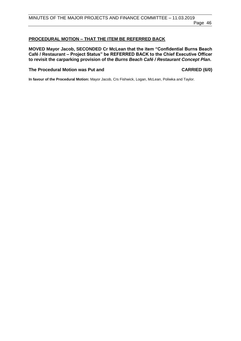## **PROCEDURAL MOTION – THAT THE ITEM BE REFERRED BACK**

**MOVED Mayor Jacob, SECONDED Cr McLean that the item "Confidential Burns Beach Café / Restaurant – Project Status" be REFERRED BACK to the Chief Executive Officer to revisit the carparking provision of the** *Burns Beach Café / Restaurant Concept Plan***.**

#### **The Procedural Motion was Put and CARRIED (6/0)**

**In favour of the Procedural Motion:** Mayor Jacob, Crs Fishwick, Logan, McLean, Poliwka and Taylor.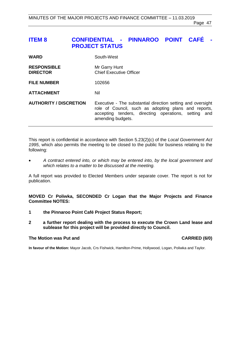# <span id="page-46-0"></span>**ITEM 8 CONFIDENTIAL - PINNAROO POINT CAFÉ - PROJECT STATUS**

| <b>WARD</b>                           | South-West                                                                                                                                                                                       |
|---------------------------------------|--------------------------------------------------------------------------------------------------------------------------------------------------------------------------------------------------|
| <b>RESPONSIBLE</b><br><b>DIRECTOR</b> | Mr Garry Hunt<br><b>Chief Executive Officer</b>                                                                                                                                                  |
| <b>FILE NUMBER</b>                    | 102656                                                                                                                                                                                           |
| <b>ATTACHMENT</b>                     | Nil                                                                                                                                                                                              |
| <b>AUTHORITY / DISCRETION</b>         | Executive - The substantial direction setting and oversight<br>role of Council, such as adopting plans and reports,<br>accepting tenders, directing operations, setting and<br>amending budgets. |

This report is confidential in accordance with Section 5.23(2)(c) of the *Local Government Act 1995*, which also permits the meeting to be closed to the public for business relating to the following:

• *A contract entered into, or which may be entered into, by the local government and which relates to a matter to be discussed at the meeting.*

A full report was provided to Elected Members under separate cover. The report is not for publication.

#### **MOVED Cr Poliwka, SECONDED Cr Logan that the Major Projects and Finance Committee NOTES:**

- **1 the Pinnaroo Point Café Project Status Report;**
- **2 a further report dealing with the process to execute the Crown Land lease and sublease for this project will be provided directly to Council.**

#### **The Motion was Put and CARRIED (6/0)**

**In favour of the Motion:** Mayor Jacob, Crs Fishwick, Hamilton-Prime, Hollywood, Logan, Poliwka and Taylor.